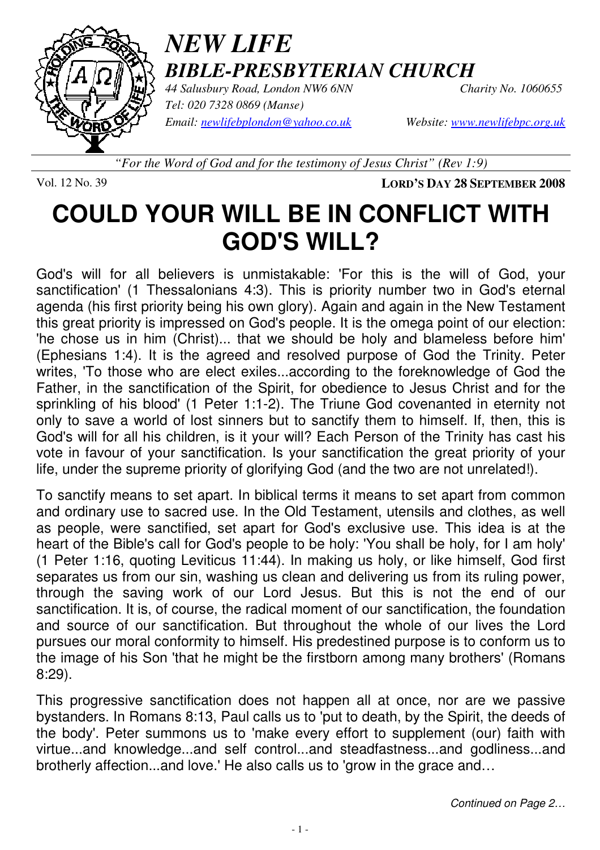

## *NEW LIFE BIBLE-PRESBYTERIAN CHURCH*

*44 Salusbury Road, London NW6 6NN Charity No. 1060655 Tel: 020 7328 0869 (Manse) Email: newlifebplondon@yahoo.co.uk Website: www.newlifebpc.org.uk*

*"For the Word of God and for the testimony of Jesus Christ" (Rev 1:9)*

Vol. 12 No. 39 **LORD'S DAY 28 SEPTEMBER 2008**

# **COULD YOUR WILL BE IN CONFLICT WITH GOD'S WILL?**

God's will for all believers is unmistakable: 'For this is the will of God, your sanctification' (1 Thessalonians 4:3). This is priority number two in God's eternal agenda (his first priority being his own glory). Again and again in the New Testament this great priority is impressed on God's people. It is the omega point of our election: 'he chose us in him (Christ)... that we should be holy and blameless before him' (Ephesians 1:4). It is the agreed and resolved purpose of God the Trinity. Peter writes, 'To those who are elect exiles...according to the foreknowledge of God the Father, in the sanctification of the Spirit, for obedience to Jesus Christ and for the sprinkling of his blood' (1 Peter 1:1-2). The Triune God covenanted in eternity not only to save a world of lost sinners but to sanctify them to himself. If, then, this is God's will for all his children, is it your will? Each Person of the Trinity has cast his vote in favour of your sanctification. Is your sanctification the great priority of your life, under the supreme priority of glorifying God (and the two are not unrelated!).

To sanctify means to set apart. In biblical terms it means to set apart from common and ordinary use to sacred use. In the Old Testament, utensils and clothes, as well as people, were sanctified, set apart for God's exclusive use. This idea is at the heart of the Bible's call for God's people to be holy: 'You shall be holy, for I am holy' (1 Peter 1:16, quoting Leviticus 11:44). In making us holy, or like himself, God first separates us from our sin, washing us clean and delivering us from its ruling power, through the saving work of our Lord Jesus. But this is not the end of our sanctification. It is, of course, the radical moment of our sanctification, the foundation and source of our sanctification. But throughout the whole of our lives the Lord pursues our moral conformity to himself. His predestined purpose is to conform us to the image of his Son 'that he might be the firstborn among many brothers' (Romans 8:29).

This progressive sanctification does not happen all at once, nor are we passive bystanders. In Romans 8:13, Paul calls us to 'put to death, by the Spirit, the deeds of the body'. Peter summons us to 'make every effort to supplement (our) faith with virtue...and knowledge...and self control...and steadfastness...and godliness...and brotherly affection...and love.' He also calls us to 'grow in the grace and…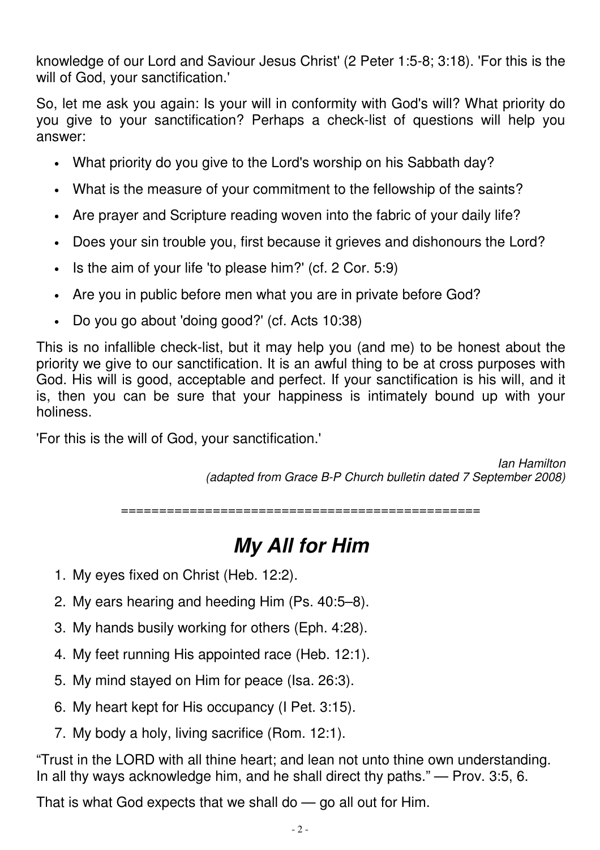knowledge of our Lord and Saviour Jesus Christ' (2 Peter 1:5-8; 3:18). 'For this is the will of God, your sanctification.'

So, let me ask you again: Is your will in conformity with God's will? What priority do you give to your sanctification? Perhaps a check-list of questions will help you answer:

- What priority do you give to the Lord's worship on his Sabbath day?
- What is the measure of your commitment to the fellowship of the saints?
- Are prayer and Scripture reading woven into the fabric of your daily life?
- Does your sin trouble you, first because it grieves and dishonours the Lord?
- Is the aim of your life 'to please him?' (cf. 2 Cor. 5:9)
- Are you in public before men what you are in private before God?
- Do you go about 'doing good?' (cf. Acts 10:38)

This is no infallible check-list, but it may help you (and me) to be honest about the priority we give to our sanctification. It is an awful thing to be at cross purposes with God. His will is good, acceptable and perfect. If your sanctification is his will, and it is, then you can be sure that your happiness is intimately bound up with your holiness.

'For this is the will of God, your sanctification.'

Ian Hamilton (adapted from Grace B-P Church bulletin dated 7 September 2008)

===============================================

## **My All for Him**

- 1. My eyes fixed on Christ (Heb. 12:2).
- 2. My ears hearing and heeding Him (Ps. 40:5–8).
- 3. My hands busily working for others (Eph. 4:28).
- 4. My feet running His appointed race (Heb. 12:1).
- 5. My mind stayed on Him for peace (Isa. 26:3).
- 6. My heart kept for His occupancy (I Pet. 3:15).
- 7. My body a holy, living sacrifice (Rom. 12:1).

"Trust in the LORD with all thine heart; and lean not unto thine own understanding. In all thy ways acknowledge him, and he shall direct thy paths." — Prov. 3:5, 6.

That is what God expects that we shall do — go all out for Him.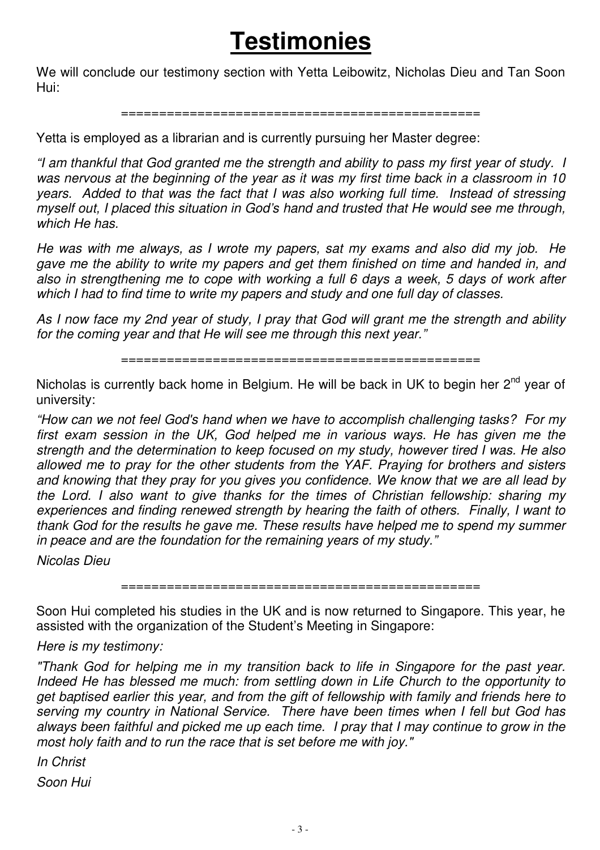# **Testimonies**

We will conclude our testimony section with Yetta Leibowitz, Nicholas Dieu and Tan Soon Hui:

#### ===============================================

Yetta is employed as a librarian and is currently pursuing her Master degree:

"I am thankful that God granted me the strength and ability to pass my first year of study. I was nervous at the beginning of the year as it was my first time back in a classroom in 10 years. Added to that was the fact that I was also working full time. Instead of stressing myself out, I placed this situation in God's hand and trusted that He would see me through, which He has.

He was with me always, as I wrote my papers, sat my exams and also did my job. He gave me the ability to write my papers and get them finished on time and handed in, and also in strengthening me to cope with working a full 6 days a week, 5 days of work after which I had to find time to write my papers and study and one full day of classes.

As I now face my 2nd year of study, I pray that God will grant me the strength and ability for the coming year and that He will see me through this next year."

===============================================

Nicholas is currently back home in Belgium. He will be back in UK to begin her  $2^{nd}$  year of university:

"How can we not feel God's hand when we have to accomplish challenging tasks? For my first exam session in the UK, God helped me in various ways. He has given me the strength and the determination to keep focused on my study, however tired I was. He also allowed me to pray for the other students from the YAF. Praying for brothers and sisters and knowing that they pray for you gives you confidence. We know that we are all lead by the Lord. I also want to give thanks for the times of Christian fellowship: sharing my experiences and finding renewed strength by hearing the faith of others. Finally, I want to thank God for the results he gave me. These results have helped me to spend my summer in peace and are the foundation for the remaining years of my study."

Nicolas Dieu

===============================================

Soon Hui completed his studies in the UK and is now returned to Singapore. This year, he assisted with the organization of the Student's Meeting in Singapore:

Here is my testimony:

"Thank God for helping me in my transition back to life in Singapore for the past year. Indeed He has blessed me much: from settling down in Life Church to the opportunity to get baptised earlier this year, and from the gift of fellowship with family and friends here to serving my country in National Service. There have been times when I fell but God has always been faithful and picked me up each time. I pray that I may continue to grow in the most holy faith and to run the race that is set before me with joy."

In Christ Soon Hui